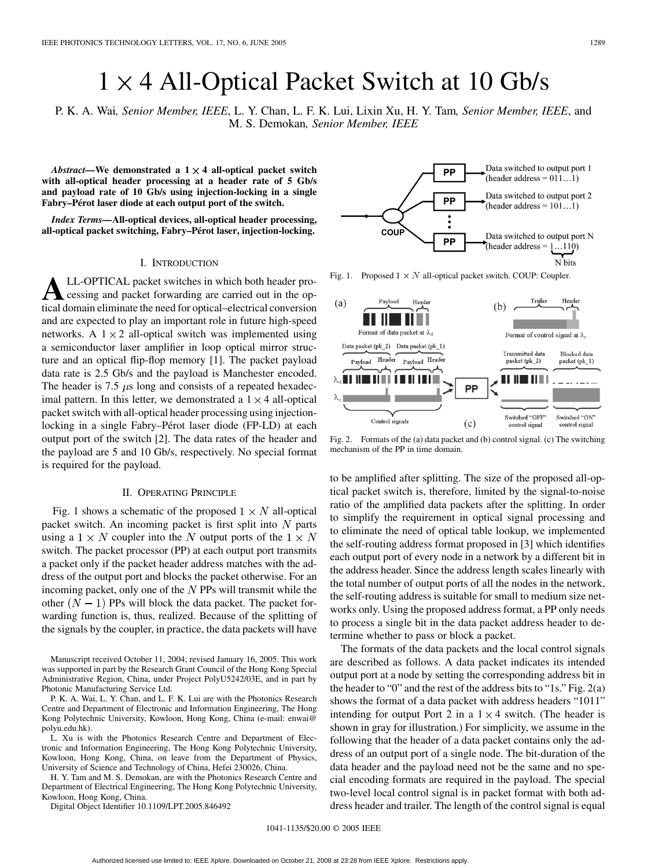# $1 \times 4$  All-Optical Packet Switch at 10 Gb/s

P. K. A. Wai*, Senior Member, IEEE*, L. Y. Chan, L. F. K. Lui, Lixin Xu, H. Y. Tam*, Senior Member, IEEE*, and M. S. Demokan*, Senior Member, IEEE*

*Abstract—***We demonstrated a 1 4 all-optical packet switch with all-optical header processing at a header rate of 5 Gb/s and payload rate of 10 Gb/s using injection-locking in a single Fabry–Pérot laser diode at each output port of the switch.**

*Index Terms—***All-optical devices, all-optical header processing, all-optical packet switching, Fabry–Pérot laser, injection-locking.**

### I. INTRODUCTION

**A**LL-OPTICAL packet switches in which both header processing and packet forwarding are carried out in the optical domain eliminate the need for optical–electrical conversion and are expected to play an important role in future high-speed networks. A  $1 \times 2$  all-optical switch was implemented using a semiconductor laser amplifier in loop optical mirror structure and an optical flip-flop memory [[1\]](#page-2-0). The packet payload data rate is 2.5 Gb/s and the payload is Manchester encoded. The header is 7.5  $\mu$ s long and consists of a repeated hexadecimal pattern. In this letter, we demonstrated a  $1 \times 4$  all-optical packet switch with all-optical header processing using injectionlocking in a single Fabry–Pérot laser diode (FP-LD) at each output port of the switch [[2\]](#page-2-0). The data rates of the header and the payload are 5 and 10 Gb/s, respectively. No special format is required for the payload.

## II. OPERATING PRINCIPLE

Fig. 1 shows a schematic of the proposed  $1 \times N$  all-optical packet switch. An incoming packet is first split into  $N$  parts using a  $1 \times N$  coupler into the N output ports of the  $1 \times N$ switch. The packet processor (PP) at each output port transmits a packet only if the packet header address matches with the address of the output port and blocks the packet otherwise. For an incoming packet, only one of the  $N$  PPs will transmit while the other  $(N - 1)$  PPs will block the data packet. The packet forwarding function is, thus, realized. Because of the splitting of the signals by the coupler, in practice, the data packets will have

Manuscript received October 11, 2004; revised January 16, 2005. This work was supported in part by the Research Grant Council of the Hong Kong Special Administrative Region, China, under Project PolyU5242/03E, and in part by Photonic Manufacturing Service Ltd.

P. K. A. Wai, L. Y. Chan, and L. F. K. Lui are with the Photonics Research Centre and Department of Electronic and Information Engineering, The Hong Kong Polytechnic University, Kowloon, Hong Kong, China (e-mail: enwai@ polyu.edu.hk).

L. Xu is with the Photonics Research Centre and Department of Electronic and Information Engineering, The Hong Kong Polytechnic University, Kowloon, Hong Kong, China, on leave from the Department of Physics, University of Science and Technology of China, Hefei 230026, China.

H. Y. Tam and M. S. Demokan, are with the Photonics Research Centre and Department of Electrical Engineering, The Hong Kong Polytechnic University, Kowloon, Hong Kong, China.

Digital Object Identifier 10.1109/LPT.2005.846492



Fig. 1. Proposed  $1 \times N$  all-optical packet switch. COUP: Coupler.



Fig. 2. Formats of the (a) data packet and (b) control signal. (c) The switching mechanism of the PP in time domain.

to be amplified after splitting. The size of the proposed all-optical packet switch is, therefore, limited by the signal-to-noise ratio of the amplified data packets after the splitting. In order to simplify the requirement in optical signal processing and to eliminate the need of optical table lookup, we implemented the self-routing address format proposed in [\[3](#page-2-0)] which identifies each output port of every node in a network by a different bit in the address header. Since the address length scales linearly with the total number of output ports of all the nodes in the network, the self-routing address is suitable for small to medium size networks only. Using the proposed address format, a PP only needs to process a single bit in the data packet address header to determine whether to pass or block a packet.

The formats of the data packets and the local control signals are described as follows. A data packet indicates its intended output port at a node by setting the corresponding address bit in the header to "0" and the rest of the address bits to "1s." Fig. 2(a) shows the format of a data packet with address headers "1011" intending for output Port 2 in a  $1 \times 4$  switch. (The header is shown in gray for illustration.) For simplicity, we assume in the following that the header of a data packet contains only the address of an output port of a single node. The bit-duration of the data header and the payload need not be the same and no special encoding formats are required in the payload. The special two-level local control signal is in packet format with both address header and trailer. The length of the control signal is equal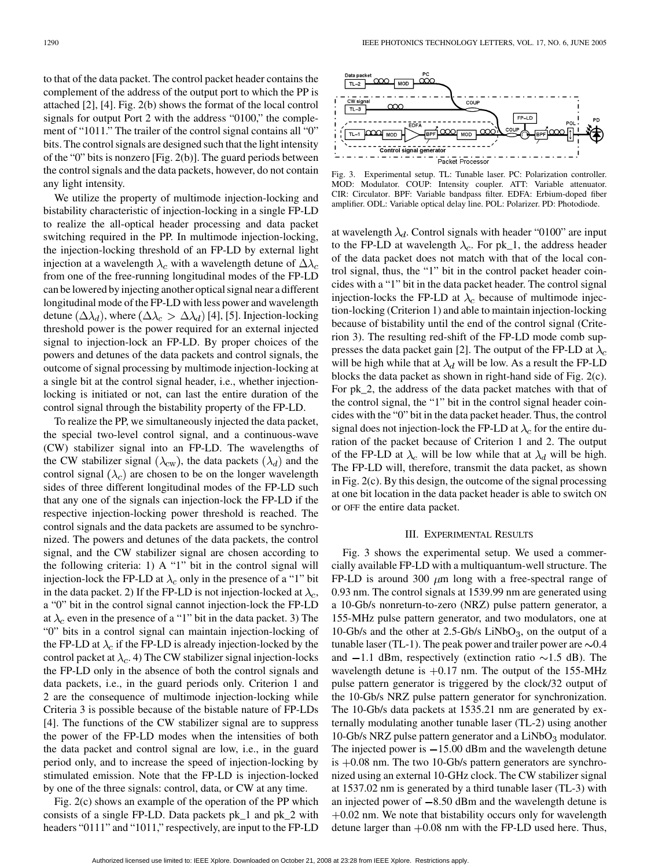to that of the data packet. The control packet header contains the complement of the address of the output port to which the PP is attached [\[2](#page-2-0)], [[4\]](#page-2-0). Fig. 2(b) shows the format of the local control signals for output Port 2 with the address "0100," the complement of "1011." The trailer of the control signal contains all "0" bits. The control signals are designed such that the light intensity of the "0" bits is nonzero [Fig. 2(b)]. The guard periods between the control signals and the data packets, however, do not contain any light intensity.

We utilize the property of multimode injection-locking and bistability characteristic of injection-locking in a single FP-LD to realize the all-optical header processing and data packet switching required in the PP. In multimode injection-locking, the injection-locking threshold of an FP-LD by external light injection at a wavelength  $\lambda_c$  with a wavelength detune of  $\Delta \lambda_c$ from one of the free-running longitudinal modes of the FP-LD can be lowered by injecting another optical signal near a different longitudinal mode of the FP-LD with less power and wavelength detune  $(\Delta \lambda_d)$ , where  $(\Delta \lambda_c > \Delta \lambda_d)$  [[4\]](#page-2-0), [[5\]](#page-2-0). Injection-locking threshold power is the power required for an external injected signal to injection-lock an FP-LD. By proper choices of the powers and detunes of the data packets and control signals, the outcome of signal processing by multimode injection-locking at a single bit at the control signal header, i.e., whether injectionlocking is initiated or not, can last the entire duration of the control signal through the bistability property of the FP-LD.

To realize the PP, we simultaneously injected the data packet, the special two-level control signal, and a continuous-wave (CW) stabilizer signal into an FP-LD. The wavelengths of the CW stabilizer signal  $(\lambda_{\text{cw}})$ , the data packets  $(\lambda_d)$  and the control signal  $(\lambda_c)$  are chosen to be on the longer wavelength sides of three different longitudinal modes of the FP-LD such that any one of the signals can injection-lock the FP-LD if the respective injection-locking power threshold is reached. The control signals and the data packets are assumed to be synchronized. The powers and detunes of the data packets, the control signal, and the CW stabilizer signal are chosen according to the following criteria: 1) A "1" bit in the control signal will injection-lock the FP-LD at  $\lambda_c$  only in the presence of a "1" bit in the data packet. 2) If the FP-LD is not injection-locked at  $\lambda_c$ , a "0" bit in the control signal cannot injection-lock the FP-LD at  $\lambda_c$  even in the presence of a "1" bit in the data packet. 3) The "0" bits in a control signal can maintain injection-locking of the FP-LD at  $\lambda_c$  if the FP-LD is already injection-locked by the control packet at  $\lambda_c$ . 4) The CW stabilizer signal injection-locks the FP-LD only in the absence of both the control signals and data packets, i.e., in the guard periods only. Criterion 1 and 2 are the consequence of multimode injection-locking while Criteria 3 is possible because of the bistable nature of FP-LDs [[4\]](#page-2-0). The functions of the CW stabilizer signal are to suppress the power of the FP-LD modes when the intensities of both the data packet and control signal are low, i.e., in the guard period only, and to increase the speed of injection-locking by stimulated emission. Note that the FP-LD is injection-locked by one of the three signals: control, data, or CW at any time.

Fig. 2(c) shows an example of the operation of the PP which consists of a single FP-LD. Data packets pk\_1 and pk\_2 with headers "0111" and "1011," respectively, are input to the FP-LD



Fig. 3. Experimental setup. TL: Tunable laser. PC: Polarization controller. MOD: Modulator. COUP: Intensity coupler. ATT: Variable attenuator. CIR: Circulator. BPF: Variable bandpass filter. EDFA: Erbium-doped fiber amplifier. ODL: Variable optical delay line. POL: Polarizer. PD: Photodiode.

at wavelength  $\lambda_d$ . Control signals with header "0100" are input to the FP-LD at wavelength  $\lambda_c$ . For pk\_1, the address header of the data packet does not match with that of the local control signal, thus, the "1" bit in the control packet header coincides with a "1" bit in the data packet header. The control signal injection-locks the FP-LD at  $\lambda_c$  because of multimode injection-locking (Criterion 1) and able to maintain injection-locking because of bistability until the end of the control signal (Criterion 3). The resulting red-shift of the FP-LD mode comb sup-presses the data packet gain [\[2](#page-2-0)]. The output of the FP-LD at  $\lambda_c$ will be high while that at  $\lambda_d$  will be low. As a result the FP-LD blocks the data packet as shown in right-hand side of Fig. 2(c). For pk\_2, the address of the data packet matches with that of the control signal, the "1" bit in the control signal header coincides with the "0" bit in the data packet header. Thus, the control signal does not injection-lock the FP-LD at  $\lambda_c$  for the entire duration of the packet because of Criterion 1 and 2. The output of the FP-LD at  $\lambda_c$  will be low while that at  $\lambda_d$  will be high. The FP-LD will, therefore, transmit the data packet, as shown in Fig. 2(c). By this design, the outcome of the signal processing at one bit location in the data packet header is able to switch ON or OFF the entire data packet.

#### III. EXPERIMENTAL RESULTS

Fig. 3 shows the experimental setup. We used a commercially available FP-LD with a multiquantum-well structure. The FP-LD is around 300  $\mu$ m long with a free-spectral range of 0.93 nm. The control signals at 1539.99 nm are generated using a 10-Gb/s nonreturn-to-zero (NRZ) pulse pattern generator, a 155-MHz pulse pattern generator, and two modulators, one at 10-Gb/s and the other at  $2.5$ -Gb/s LiNbO<sub>3</sub>, on the output of a tunable laser (TL-1). The peak power and trailer power are  $\sim 0.4$ and  $-1.1$  dBm, respectively (extinction ratio  $\sim 1.5$  dB). The wavelength detune is  $+0.17$  nm. The output of the 155-MHz pulse pattern generator is triggered by the clock/32 output of the 10-Gb/s NRZ pulse pattern generator for synchronization. The 10-Gb/s data packets at 1535.21 nm are generated by externally modulating another tunable laser (TL-2) using another 10-Gb/s NRZ pulse pattern generator and a  $LiNbO<sub>3</sub>$  modulator. The injected power is  $-15.00$  dBm and the wavelength detune is  $+0.08$  nm. The two 10-Gb/s pattern generators are synchronized using an external 10-GHz clock. The CW stabilizer signal at 1537.02 nm is generated by a third tunable laser (TL-3) with an injected power of  $-8.50$  dBm and the wavelength detune is  $+0.02$  nm. We note that bistability occurs only for wavelength detune larger than  $+0.08$  nm with the FP-LD used here. Thus,